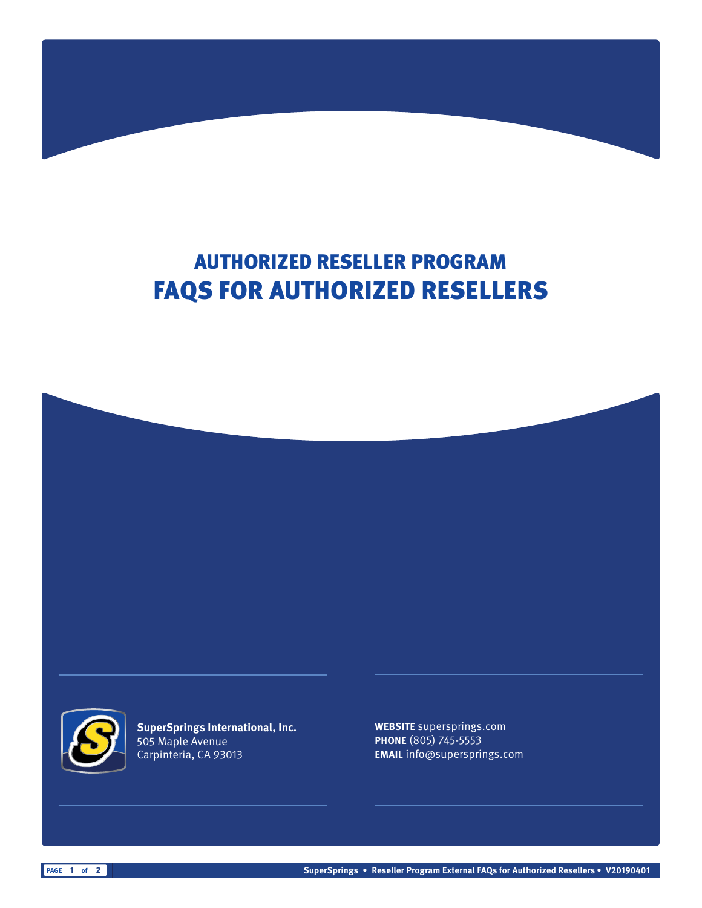# AUTHORIZED RESELLER PROGRAM FAQS FOR AUTHORIZED RESELLERS





**SuperSprings International, Inc.** 505 Maple Avenue Carpinteria, CA 93013

**WEBSITE** supersprings.com **PHONE** (805) 745-5553 **EMAIL** info@supersprings.com